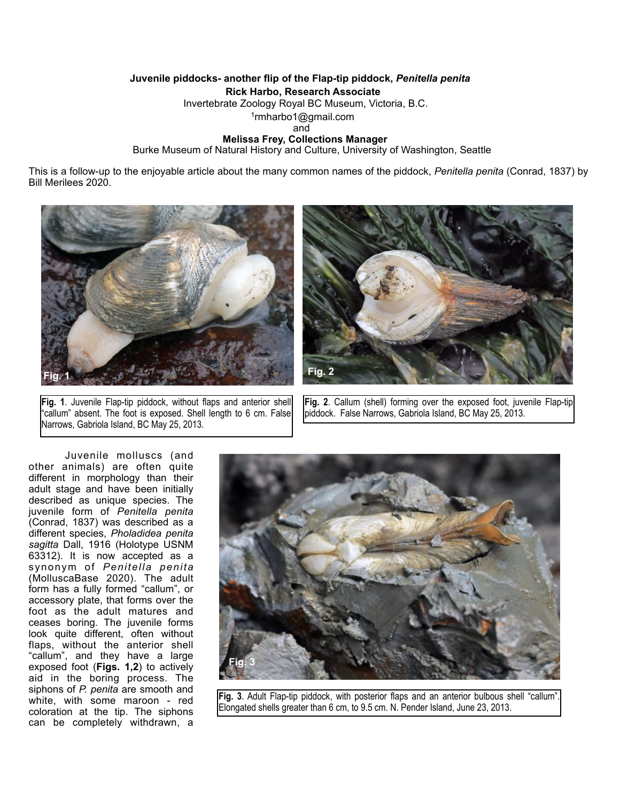## **Juvenile piddocks- another flip of the Flap-tip piddock,** *Penitella penita* **Rick Harbo, Research Associate** Invertebrate Zoology Royal BC Museum, Victoria, B.C. 1rmharbo1@gmail.com

and the contract of the contract of the contract of the contract of the contract of the contract of the contract of the contract of the contract of the contract of the contract of the contract of the contract of the contra

## **Melissa Frey, Collections Manager**

Burke Museum of Natural History and Culture, University of Washington, Seattle

This is a follow-up to the enjoyable article about the many common names of the piddock, *Penitella penita* (Conrad, 1837) by Bill Merilees 2020.



**Fig. 1**. Juvenile Flap-tip piddock, without flaps and anterior shell "callum" absent. The foot is exposed. Shell length to 6 cm. False Narrows, Gabriola Island, BC May 25, 2013.



**Fig. 2**. Callum (shell) forming over the exposed foot, juvenile Flap-tip piddock. False Narrows, Gabriola Island, BC May 25, 2013.

 Juvenile molluscs (and other animals) are often quite different in morphology than their adult stage and have been initially described as unique species. The juvenile form of *Penitella penita*  (Conrad, 1837) was described as a different species, *Pholadidea penita sagitta* Dall, 1916 (Holotype USNM 63312). It is now accepted as a synonym of *Penitella penita*  (MolluscaBase 2020). The adult form has a fully formed "callum", or accessory plate, that forms over the foot as the adult matures and ceases boring. The juvenile forms look quite different, often without flaps, without the anterior shell "callum", and they have a large exposed foot (**Figs. 1,2**) to actively aid in the boring process. The siphons of *P. penita* are smooth and white, with some maroon - red coloration at the tip. The siphons can be completely withdrawn, a



**Fig. 3**. Adult Flap-tip piddock, with posterior flaps and an anterior bulbous shell "callum". Elongated shells greater than 6 cm, to 9.5 cm. N. Pender Island, June 23, 2013.